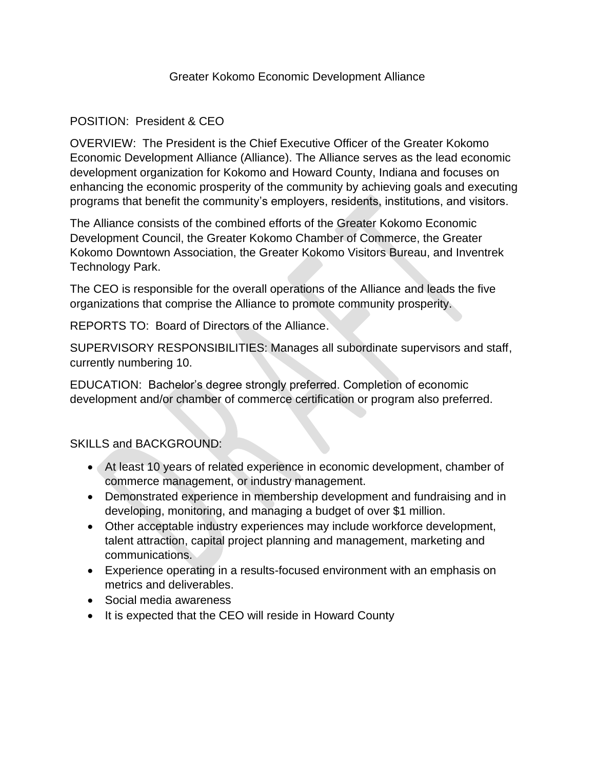# Greater Kokomo Economic Development Alliance

# POSITION: President & CEO

OVERVIEW: The President is the Chief Executive Officer of the Greater Kokomo Economic Development Alliance (Alliance). The Alliance serves as the lead economic development organization for Kokomo and Howard County, Indiana and focuses on enhancing the economic prosperity of the community by achieving goals and executing programs that benefit the community's employers, residents, institutions, and visitors.

The Alliance consists of the combined efforts of the Greater Kokomo Economic Development Council, the Greater Kokomo Chamber of Commerce, the Greater Kokomo Downtown Association, the Greater Kokomo Visitors Bureau, and Inventrek Technology Park.

The CEO is responsible for the overall operations of the Alliance and leads the five organizations that comprise the Alliance to promote community prosperity.

REPORTS TO: Board of Directors of the Alliance.

SUPERVISORY RESPONSIBILITIES: Manages all subordinate supervisors and staff, currently numbering 10.

EDUCATION: Bachelor's degree strongly preferred. Completion of economic development and/or chamber of commerce certification or program also preferred.

# SKILLS and BACKGROUND:

- At least 10 years of related experience in economic development, chamber of commerce management, or industry management.
- Demonstrated experience in membership development and fundraising and in developing, monitoring, and managing a budget of over \$1 million.
- Other acceptable industry experiences may include workforce development, talent attraction, capital project planning and management, marketing and communications.
- Experience operating in a results-focused environment with an emphasis on metrics and deliverables.
- Social media awareness
- It is expected that the CEO will reside in Howard County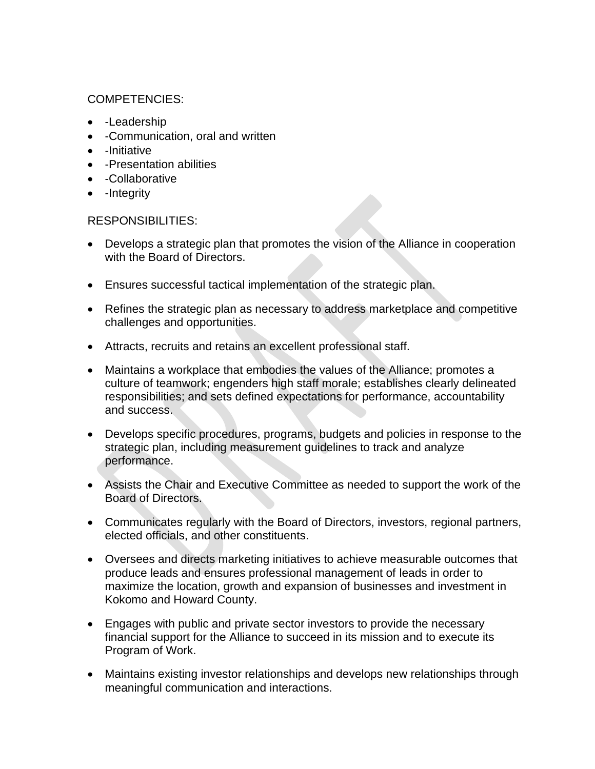# COMPETENCIES:

- -Leadership
- -Communication, oral and written
- -Initiative
- -Presentation abilities
- -Collaborative
- -Integrity

#### RESPONSIBILITIES:

- Develops a strategic plan that promotes the vision of the Alliance in cooperation with the Board of Directors.
- Ensures successful tactical implementation of the strategic plan.
- Refines the strategic plan as necessary to address marketplace and competitive challenges and opportunities.
- Attracts, recruits and retains an excellent professional staff.
- Maintains a workplace that embodies the values of the Alliance; promotes a culture of teamwork; engenders high staff morale; establishes clearly delineated responsibilities; and sets defined expectations for performance, accountability and success.
- Develops specific procedures, programs, budgets and policies in response to the strategic plan, including measurement guidelines to track and analyze performance.
- Assists the Chair and Executive Committee as needed to support the work of the Board of Directors.
- Communicates regularly with the Board of Directors, investors, regional partners, elected officials, and other constituents.
- Oversees and directs marketing initiatives to achieve measurable outcomes that produce leads and ensures professional management of leads in order to maximize the location, growth and expansion of businesses and investment in Kokomo and Howard County.
- Engages with public and private sector investors to provide the necessary financial support for the Alliance to succeed in its mission and to execute its Program of Work.
- Maintains existing investor relationships and develops new relationships through meaningful communication and interactions.